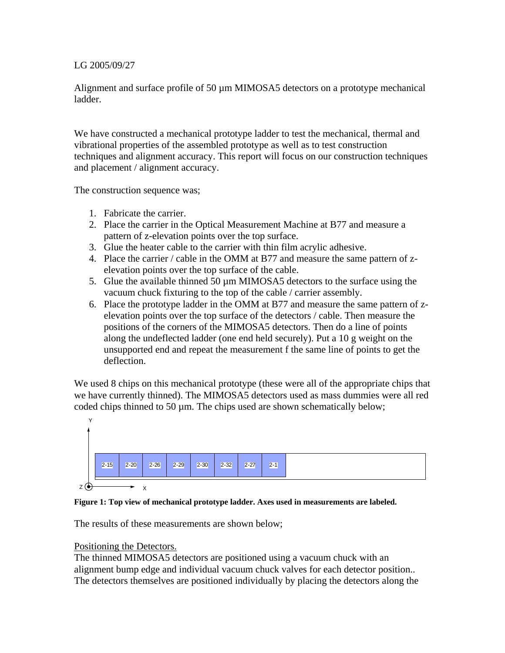# LG 2005/09/27

Alignment and surface profile of 50  $\mu$ m MIMOSA5 detectors on a prototype mechanical ladder.

We have constructed a mechanical prototype ladder to test the mechanical, thermal and vibrational properties of the assembled prototype as well as to test construction techniques and alignment accuracy. This report will focus on our construction techniques and placement / alignment accuracy.

The construction sequence was;

- 1. Fabricate the carrier.
- 2. Place the carrier in the Optical Measurement Machine at B77 and measure a pattern of z-elevation points over the top surface.
- 3. Glue the heater cable to the carrier with thin film acrylic adhesive.
- 4. Place the carrier / cable in the OMM at B77 and measure the same pattern of zelevation points over the top surface of the cable.
- 5. Glue the available thinned 50 µm MIMOSA5 detectors to the surface using the vacuum chuck fixturing to the top of the cable / carrier assembly.
- 6. Place the prototype ladder in the OMM at B77 and measure the same pattern of zelevation points over the top surface of the detectors / cable. Then measure the positions of the corners of the MIMOSA5 detectors. Then do a line of points along the undeflected ladder (one end held securely). Put a 10 g weight on the unsupported end and repeat the measurement f the same line of points to get the deflection.

We used 8 chips on this mechanical prototype (these were all of the appropriate chips that we have currently thinned). The MIMOSA5 detectors used as mass dummies were all red coded chips thinned to 50  $\mu$ m. The chips used are shown schematically below;



### **Figure 1: Top view of mechanical prototype ladder. Axes used in measurements are labeled.**

The results of these measurements are shown below;

# Positioning the Detectors.

The thinned MIMOSA5 detectors are positioned using a vacuum chuck with an alignment bump edge and individual vacuum chuck valves for each detector position.. The detectors themselves are positioned individually by placing the detectors along the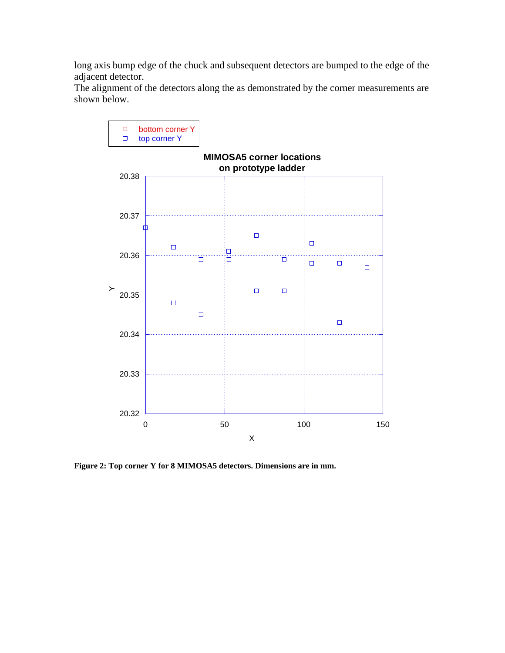long axis bump edge of the chuck and subsequent detectors are bumped to the edge of the adjacent detector.

The alignment of the detectors along the as demonstrated by the corner measurements are shown below.



**Figure 2: Top corner Y for 8 MIMOSA5 detectors. Dimensions are in mm.**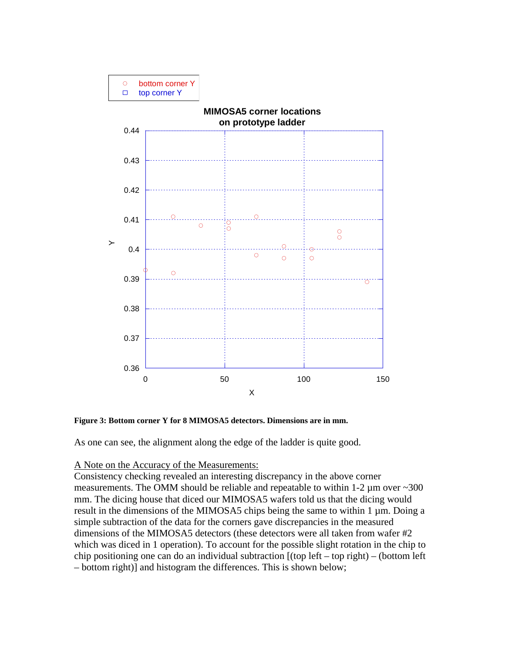

**Figure 3: Bottom corner Y for 8 MIMOSA5 detectors. Dimensions are in mm.** 

As one can see, the alignment along the edge of the ladder is quite good.

# A Note on the Accuracy of the Measurements:

Consistency checking revealed an interesting discrepancy in the above corner measurements. The OMM should be reliable and repeatable to within 1-2  $\mu$ m over ~300 mm. The dicing house that diced our MIMOSA5 wafers told us that the dicing would result in the dimensions of the MIMOSA5 chips being the same to within 1 µm. Doing a simple subtraction of the data for the corners gave discrepancies in the measured dimensions of the MIMOSA5 detectors (these detectors were all taken from wafer #2 which was diced in 1 operation). To account for the possible slight rotation in the chip to chip positioning one can do an individual subtraction [(top left – top right) – (bottom left – bottom right)] and histogram the differences. This is shown below;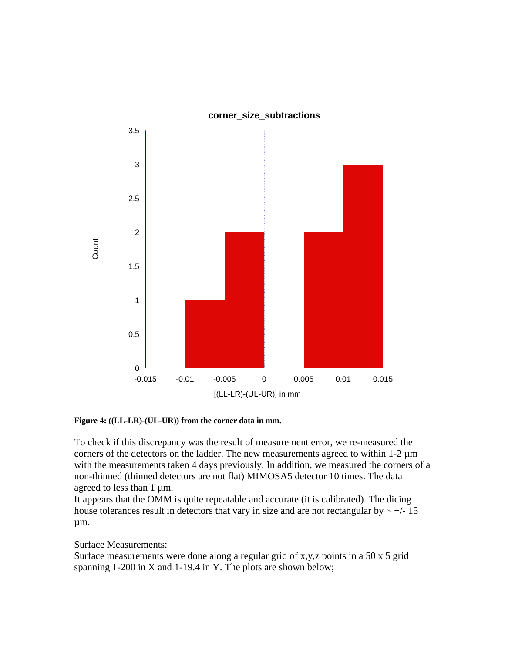

**Figure 4: ((LL-LR)-(UL-UR)) from the corner data in mm.** 

To check if this discrepancy was the result of measurement error, we re-measured the corners of the detectors on the ladder. The new measurements agreed to within  $1-2 \mu m$ with the measurements taken 4 days previously. In addition, we measured the corners of a non-thinned (thinned detectors are not flat) MIMOSA5 detector 10 times. The data agreed to less than 1  $\mu$ m.

It appears that the OMM is quite repeatable and accurate (it is calibrated). The dicing house tolerances result in detectors that vary in size and are not rectangular by  $\sim +/-15$ µm.

### Surface Measurements:

Surface measurements were done along a regular grid of x,y,z points in a 50  $\times$  5 grid spanning 1-200 in X and 1-19.4 in Y. The plots are shown below;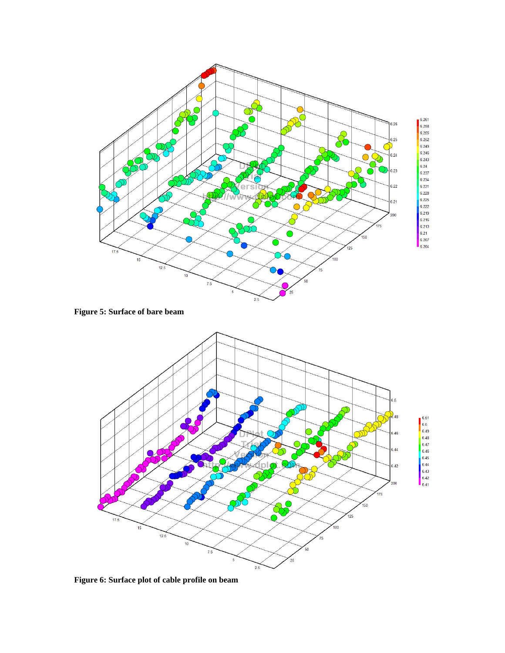

**Figure 5: Surface of bare beam** 



**Figure 6: Surface plot of cable profile on beam**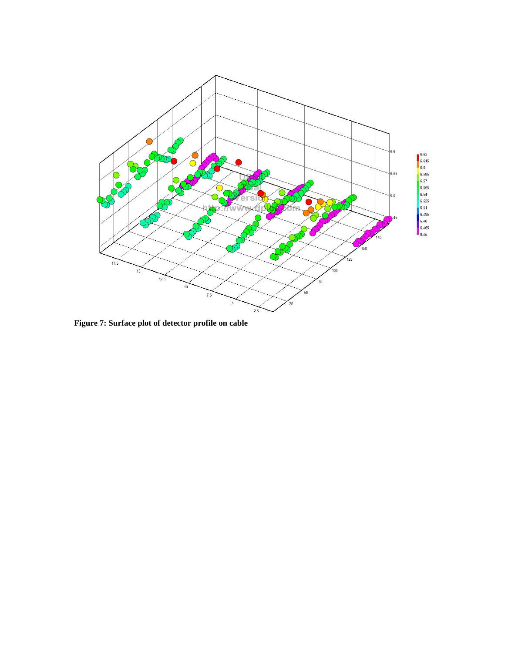

**Figure 7: Surface plot of detector profile on cable**